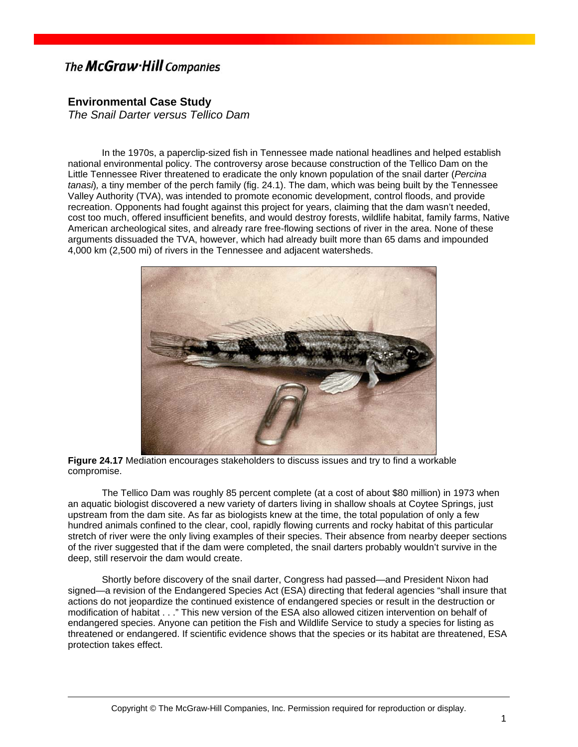## The McGraw Hill Companies

## **Environmental Case Study**

 *The Snail Darter versus Tellico Dam* 

 In the 1970s, a paperclip-sized fish in Tennessee made national headlines and helped establish national environmental policy. The controversy arose because construction of the Tellico Dam on the Little Tennessee River threatened to eradicate the only known population of the snail darter (*Percina tanasi*)*,* a tiny member of the perch family (fig. 24.1). The dam, which was being built by the Tennessee Valley Authority (TVA), was intended to promote economic development, control floods, and provide recreation. Opponents had fought against this project for years, claiming that the dam wasn't needed, cost too much, offered insufficient benefits, and would destroy forests, wildlife habitat, family farms, Native American archeological sites, and already rare free-flowing sections of river in the area. None of these arguments dissuaded the TVA, however, which had already built more than 65 dams and impounded 4,000 km (2,500 mi) of rivers in the Tennessee and adjacent watersheds.



**Figure 24.17** Mediation encourages stakeholders to discuss issues and try to find a workable compromise.

 The Tellico Dam was roughly 85 percent complete (at a cost of about \$80 million) in 1973 when an aquatic biologist discovered a new variety of darters living in shallow shoals at Coytee Springs, just upstream from the dam site. As far as biologists knew at the time, the total population of only a few hundred animals confined to the clear, cool, rapidly flowing currents and rocky habitat of this particular stretch of river were the only living examples of their species. Their absence from nearby deeper sections of the river suggested that if the dam were completed, the snail darters probably wouldn't survive in the deep, still reservoir the dam would create.

 Shortly before discovery of the snail darter, Congress had passed—and President Nixon had signed—a revision of the Endangered Species Act (ESA) directing that federal agencies "shall insure that actions do not jeopardize the continued existence of endangered species or result in the destruction or modification of habitat . . ." This new version of the ESA also allowed citizen intervention on behalf of endangered species. Anyone can petition the Fish and Wildlife Service to study a species for listing as threatened or endangered. If scientific evidence shows that the species or its habitat are threatened, ESA protection takes effect.